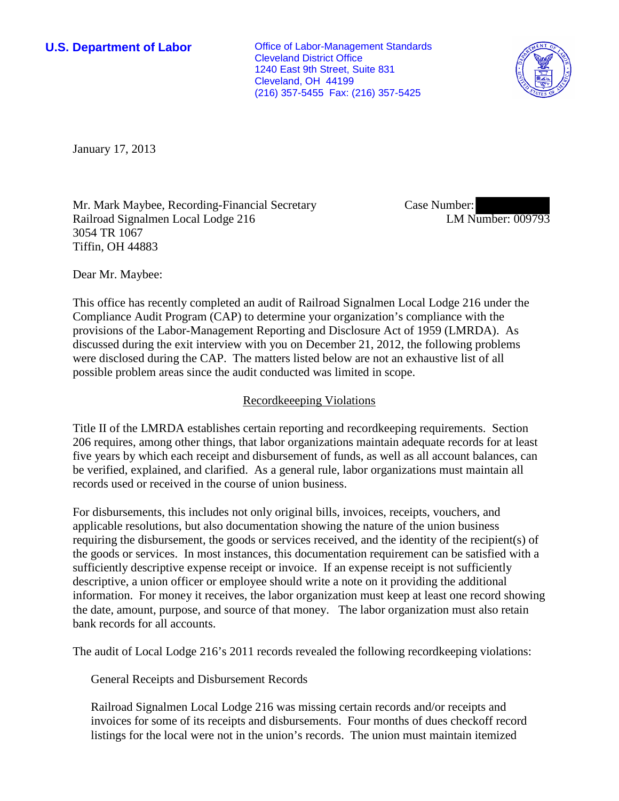**U.S. Department of Labor Office of Labor-Management Standards** Cleveland District Office 1240 East 9th Street, Suite 831 Cleveland, OH 44199 (216) 357-5455 Fax: (216) 357-5425



January 17, 2013

Mr. Mark Maybee, Recording-Financial Secretary Railroad Signalmen Local Lodge 216 3054 TR 1067 Tiffin, OH 44883

Case Number: LM Number: 009793

Dear Mr. Maybee:

This office has recently completed an audit of Railroad Signalmen Local Lodge 216 under the Compliance Audit Program (CAP) to determine your organization's compliance with the provisions of the Labor-Management Reporting and Disclosure Act of 1959 (LMRDA). As discussed during the exit interview with you on December 21, 2012, the following problems were disclosed during the CAP. The matters listed below are not an exhaustive list of all possible problem areas since the audit conducted was limited in scope.

## Recordkeeeping Violations

Title II of the LMRDA establishes certain reporting and recordkeeping requirements. Section 206 requires, among other things, that labor organizations maintain adequate records for at least five years by which each receipt and disbursement of funds, as well as all account balances, can be verified, explained, and clarified. As a general rule, labor organizations must maintain all records used or received in the course of union business.

For disbursements, this includes not only original bills, invoices, receipts, vouchers, and applicable resolutions, but also documentation showing the nature of the union business requiring the disbursement, the goods or services received, and the identity of the recipient(s) of the goods or services. In most instances, this documentation requirement can be satisfied with a sufficiently descriptive expense receipt or invoice. If an expense receipt is not sufficiently descriptive, a union officer or employee should write a note on it providing the additional information. For money it receives, the labor organization must keep at least one record showing the date, amount, purpose, and source of that money. The labor organization must also retain bank records for all accounts.

The audit of Local Lodge 216's 2011 records revealed the following recordkeeping violations:

General Receipts and Disbursement Records

Railroad Signalmen Local Lodge 216 was missing certain records and/or receipts and invoices for some of its receipts and disbursements. Four months of dues checkoff record listings for the local were not in the union's records. The union must maintain itemized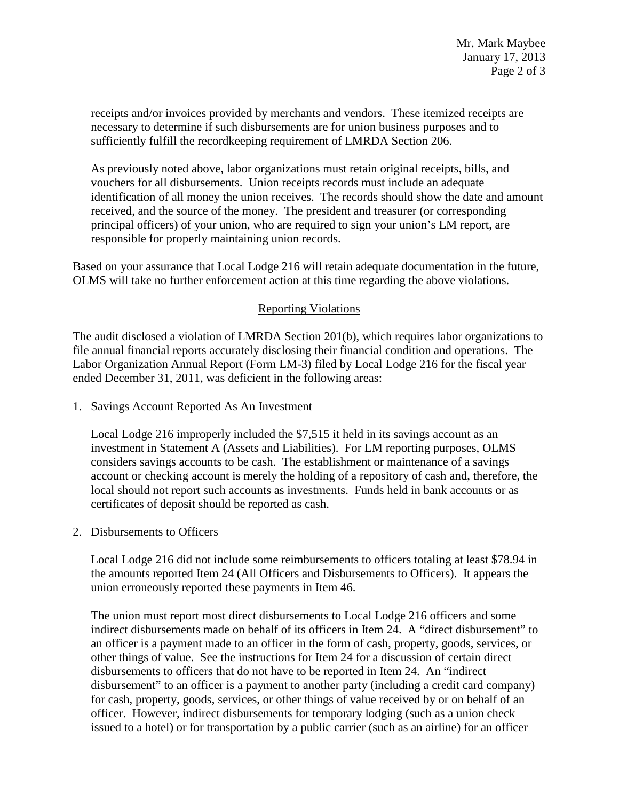receipts and/or invoices provided by merchants and vendors. These itemized receipts are necessary to determine if such disbursements are for union business purposes and to sufficiently fulfill the recordkeeping requirement of LMRDA Section 206.

As previously noted above, labor organizations must retain original receipts, bills, and vouchers for all disbursements. Union receipts records must include an adequate identification of all money the union receives. The records should show the date and amount received, and the source of the money. The president and treasurer (or corresponding principal officers) of your union, who are required to sign your union's LM report, are responsible for properly maintaining union records.

Based on your assurance that Local Lodge 216 will retain adequate documentation in the future, OLMS will take no further enforcement action at this time regarding the above violations.

## Reporting Violations

The audit disclosed a violation of LMRDA Section 201(b), which requires labor organizations to file annual financial reports accurately disclosing their financial condition and operations. The Labor Organization Annual Report (Form LM-3) filed by Local Lodge 216 for the fiscal year ended December 31, 2011, was deficient in the following areas:

1. Savings Account Reported As An Investment

Local Lodge 216 improperly included the \$7,515 it held in its savings account as an investment in Statement A (Assets and Liabilities). For LM reporting purposes, OLMS considers savings accounts to be cash. The establishment or maintenance of a savings account or checking account is merely the holding of a repository of cash and, therefore, the local should not report such accounts as investments. Funds held in bank accounts or as certificates of deposit should be reported as cash.

2. Disbursements to Officers

Local Lodge 216 did not include some reimbursements to officers totaling at least \$78.94 in the amounts reported Item 24 (All Officers and Disbursements to Officers). It appears the union erroneously reported these payments in Item 46.

The union must report most direct disbursements to Local Lodge 216 officers and some indirect disbursements made on behalf of its officers in Item 24. A "direct disbursement" to an officer is a payment made to an officer in the form of cash, property, goods, services, or other things of value. See the instructions for Item 24 for a discussion of certain direct disbursements to officers that do not have to be reported in Item 24. An "indirect disbursement" to an officer is a payment to another party (including a credit card company) for cash, property, goods, services, or other things of value received by or on behalf of an officer. However, indirect disbursements for temporary lodging (such as a union check issued to a hotel) or for transportation by a public carrier (such as an airline) for an officer